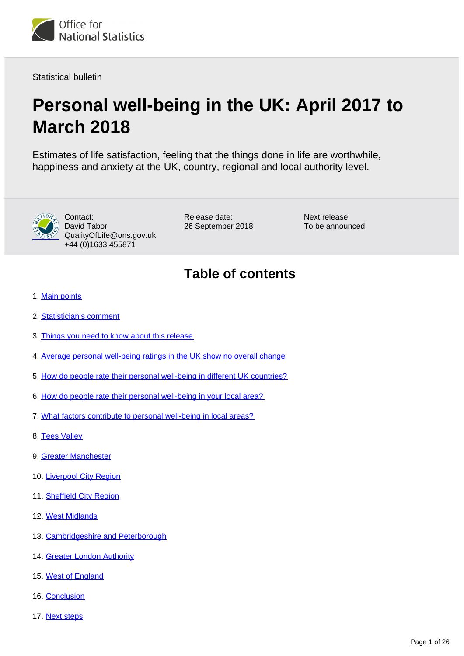

Statistical bulletin

# **Personal well-being in the UK: April 2017 to March 2018**

Estimates of life satisfaction, feeling that the things done in life are worthwhile, happiness and anxiety at the UK, country, regional and local authority level.



Contact: David Tabor QualityOfLife@ons.gov.uk +44 (0)1633 455871

Release date: 26 September 2018 Next release: To be announced

# **Table of contents**

- 1. [Main points](#page-2-0)
- 2. [Statistician's comment](#page-2-1)
- 3. [Things you need to know about this release](#page-2-2)
- 4. [Average personal well-being ratings in the UK show no overall change](#page-3-0)
- 5. [How do people rate their personal well-being in different UK countries?](#page-4-0)
- 6. [How do people rate their personal well-being in your local area?](#page-4-1)
- 7. [What factors contribute to personal well-being in local areas?](#page-5-0)
- 8. [Tees Valley](#page-6-0)
- 9. [Greater Manchester](#page-8-0)
- 10. [Liverpool City Region](#page-10-0)
- 11. [Sheffield City Region](#page-12-0)
- 12. [West Midlands](#page-14-0)
- 13. [Cambridgeshire and Peterborough](#page-16-0)
- 14. [Greater London Authority](#page-18-0)
- 15. [West of England](#page-21-0)
- 16. [Conclusion](#page-22-0)
- 17. [Next steps](#page-23-0)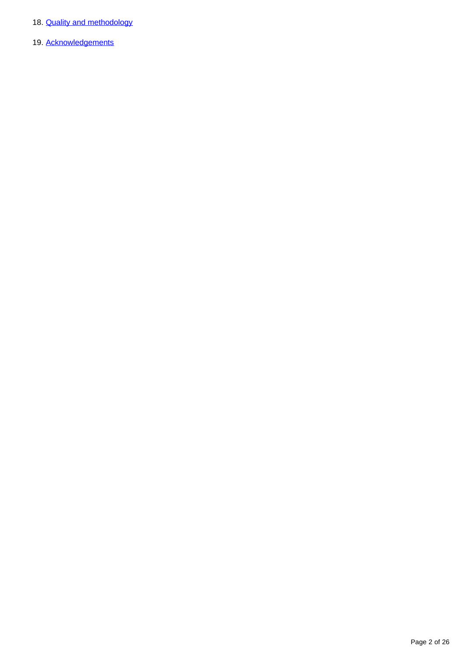- 18. **[Quality and methodology](#page-23-1)**
- 19. [Acknowledgements](#page-25-0)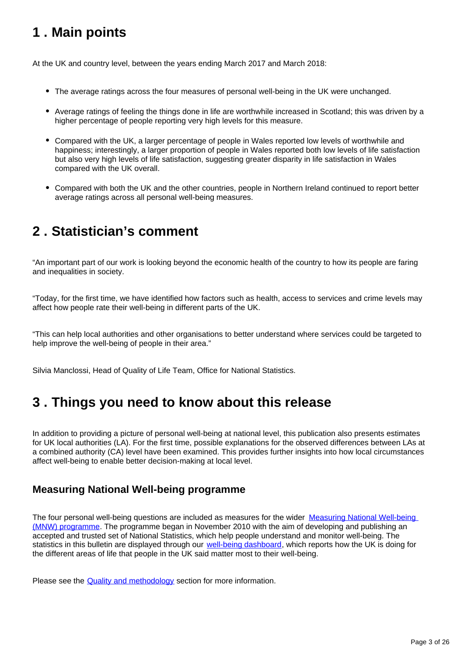# <span id="page-2-0"></span>**1 . Main points**

At the UK and country level, between the years ending March 2017 and March 2018:

- The average ratings across the four measures of personal well-being in the UK were unchanged.
- Average ratings of feeling the things done in life are worthwhile increased in Scotland; this was driven by a higher percentage of people reporting very high levels for this measure.
- Compared with the UK, a larger percentage of people in Wales reported low levels of worthwhile and happiness; interestingly, a larger proportion of people in Wales reported both low levels of life satisfaction but also very high levels of life satisfaction, suggesting greater disparity in life satisfaction in Wales compared with the UK overall.
- Compared with both the UK and the other countries, people in Northern Ireland continued to report better average ratings across all personal well-being measures.

# <span id="page-2-1"></span>**2 . Statistician's comment**

"An important part of our work is looking beyond the economic health of the country to how its people are faring and inequalities in society.

"Today, for the first time, we have identified how factors such as health, access to services and crime levels may affect how people rate their well-being in different parts of the UK.

"This can help local authorities and other organisations to better understand where services could be targeted to help improve the well-being of people in their area."

Silvia Manclossi, Head of Quality of Life Team, Office for National Statistics.

## <span id="page-2-2"></span>**3 . Things you need to know about this release**

In addition to providing a picture of personal well-being at national level, this publication also presents estimates for UK local authorities (LA). For the first time, possible explanations for the observed differences between LAs at a combined authority (CA) level have been examined. This provides further insights into how local circumstances affect well-being to enable better decision-making at local level.

### **Measuring National Well-being programme**

The four personal well-being questions are included as measures for the wider [Measuring National Well-being](https://www.ons.gov.uk/visualisations/dvc364/dashboard/index.html)  [\(MNW\) programme](https://www.ons.gov.uk/visualisations/dvc364/dashboard/index.html). The programme began in November 2010 with the aim of developing and publishing an accepted and trusted set of National Statistics, which help people understand and monitor well-being. The statistics in this bulletin are displayed through our [well-being dashboard,](https://publishing.ons.gov.uk/peoplepopulationandcommunity/wellbeing/articles/measuresofnationalwellbeingdashboard/2018-09-26) which reports how the UK is doing for the different areas of life that people in the UK said matter most to their well-being.

Please see the **Quality and methodology** section for more information.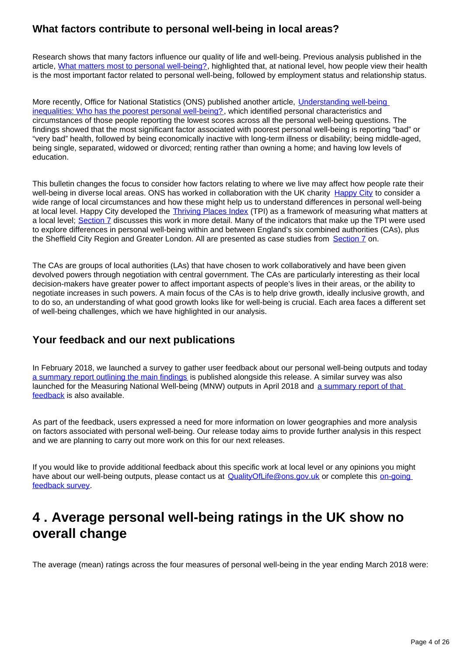### **What factors contribute to personal well-being in local areas?**

Research shows that many factors influence our quality of life and well-being. Previous analysis published in the article, [What matters most to personal well-being?](http://webarchive.nationalarchives.gov.uk/20160107113217/http:/www.ons.gov.uk/ons/rel/wellbeing/measuring-national-well-being/what-matters-most-to-personal-well-being-in-the-uk-/sty-personal-well-being.html), highlighted that, at national level, how people view their health is the most important factor related to personal well-being, followed by employment status and relationship status.

More recently, Office for National Statistics (ONS) published another article, [Understanding well-being](https://www.ons.gov.uk/peoplepopulationandcommunity/wellbeing/articles/understandingwellbeinginequalitieswhohasthepoorestpersonalwellbeing/2018-07-11)  [inequalities: Who has the poorest personal well-being?](https://www.ons.gov.uk/peoplepopulationandcommunity/wellbeing/articles/understandingwellbeinginequalitieswhohasthepoorestpersonalwellbeing/2018-07-11), which identified personal characteristics and circumstances of those people reporting the lowest scores across all the personal well-being questions. The findings showed that the most significant factor associated with poorest personal well-being is reporting "bad" or "very bad" health, followed by being economically inactive with long-term illness or disability; being middle-aged, being single, separated, widowed or divorced; renting rather than owning a home; and having low levels of education.

This bulletin changes the focus to consider how factors relating to where we live may affect how people rate their well-being in diverse local areas. ONS has worked in collaboration with the UK charity [Happy City](http://www.happycity.org.uk/) to consider a wide range of local circumstances and how these might help us to understand differences in personal well-being at local level. Happy City developed the [Thriving Places Index](http://www.thrivingplacesindex.org/) (TPI) as a framework of measuring what matters at a local level; [Section 7](https://publishing.ons.gov.uk/peoplepopulationandcommunity/wellbeing/bulletins/measuringnationalwellbeing/april2017tomarch2018#what-factors-contribute-to-personal-well-being-in-local-areas) discusses this work in more detail. Many of the indicators that make up the TPI were used to explore differences in personal well-being within and between England's six combined authorities (CAs), plus the Sheffield City Region and Greater London. All are presented as case studies from [Section 7](https://publishing.ons.gov.uk/peoplepopulationandcommunity/wellbeing/bulletins/measuringnationalwellbeing/april2017tomarch2018#what-factors-contribute-to-personal-well-being-in-local-areas) on.

The CAs are groups of local authorities (LAs) that have chosen to work collaboratively and have been given devolved powers through negotiation with central government. The CAs are particularly interesting as their local decision-makers have greater power to affect important aspects of people's lives in their areas, or the ability to negotiate increases in such powers. A main focus of the CAs is to help drive growth, ideally inclusive growth, and to do so, an understanding of what good growth looks like for well-being is crucial. Each area faces a different set of well-being challenges, which we have highlighted in our analysis.

### **Your feedback and our next publications**

In February 2018, we launched a survey to gather user feedback about our personal well-being outputs and today [a summary report outlining the main findings](https://www.ons.gov.uk/peoplepopulationandcommunity/wellbeing/methodologies/personalwellbeingoutputssummaryofuserfeedback) is published alongside this release. A similar survey was also launched for the Measuring National Well-being (MNW) outputs in April 2018 and a summary report of that [feedback](https://www.ons.gov.uk/peoplepopulationandcommunity/wellbeing/methodologies/measuringnationalwellbeingoutputssummaryofuserfeedback) is also available.

As part of the feedback, users expressed a need for more information on lower geographies and more analysis on factors associated with personal well-being. Our release today aims to provide further analysis in this respect and we are planning to carry out more work on this for our next releases.

If you would like to provide additional feedback about this specific work at local level or any opinions you might have about our well-being outputs, please contact us at QualityOfLife@ons.gov.uk or complete this on-going [feedback survey](https://www.surveymonkey.co.uk/r/Q5PMJWV).

## <span id="page-3-0"></span>**4 . Average personal well-being ratings in the UK show no overall change**

The average (mean) ratings across the four measures of personal well-being in the year ending March 2018 were: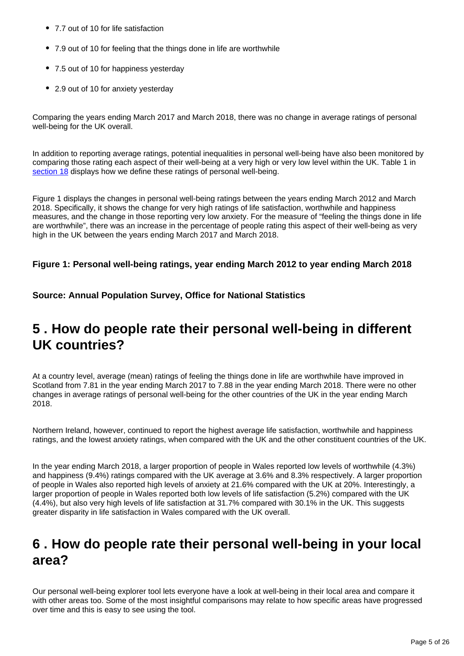- 7.7 out of 10 for life satisfaction
- 7.9 out of 10 for feeling that the things done in life are worthwhile
- 7.5 out of 10 for happiness vesterday
- 2.9 out of 10 for anxiety yesterday

Comparing the years ending March 2017 and March 2018, there was no change in average ratings of personal well-being for the UK overall.

In addition to reporting average ratings, potential inequalities in personal well-being have also been monitored by comparing those rating each aspect of their well-being at a very high or very low level within the UK. Table 1 in [section 18](https://www.ons.gov.uk/peoplepopulationandcommunity/wellbeing/bulletins/measuringnationalwellbeing/april2017tomarch2018#quality-and-methodology) displays how we define these ratings of personal well-being.

Figure 1 displays the changes in personal well-being ratings between the years ending March 2012 and March 2018. Specifically, it shows the change for very high ratings of life satisfaction, worthwhile and happiness measures, and the change in those reporting very low anxiety. For the measure of "feeling the things done in life are worthwhile", there was an increase in the percentage of people rating this aspect of their well-being as very high in the UK between the years ending March 2017 and March 2018.

#### **Figure 1: Personal well-being ratings, year ending March 2012 to year ending March 2018**

**Source: Annual Population Survey, Office for National Statistics**

## <span id="page-4-0"></span>**5 . How do people rate their personal well-being in different UK countries?**

At a country level, average (mean) ratings of feeling the things done in life are worthwhile have improved in Scotland from 7.81 in the year ending March 2017 to 7.88 in the year ending March 2018. There were no other changes in average ratings of personal well-being for the other countries of the UK in the year ending March 2018.

Northern Ireland, however, continued to report the highest average life satisfaction, worthwhile and happiness ratings, and the lowest anxiety ratings, when compared with the UK and the other constituent countries of the UK.

In the year ending March 2018, a larger proportion of people in Wales reported low levels of worthwhile (4.3%) and happiness (9.4%) ratings compared with the UK average at 3.6% and 8.3% respectively. A larger proportion of people in Wales also reported high levels of anxiety at 21.6% compared with the UK at 20%. Interestingly, a larger proportion of people in Wales reported both low levels of life satisfaction (5.2%) compared with the UK (4.4%), but also very high levels of life satisfaction at 31.7% compared with 30.1% in the UK. This suggests greater disparity in life satisfaction in Wales compared with the UK overall.

## <span id="page-4-1"></span>**6 . How do people rate their personal well-being in your local area?**

Our personal well-being explorer tool lets everyone have a look at well-being in their local area and compare it with other areas too. Some of the most insightful comparisons may relate to how specific areas have progressed over time and this is easy to see using the tool.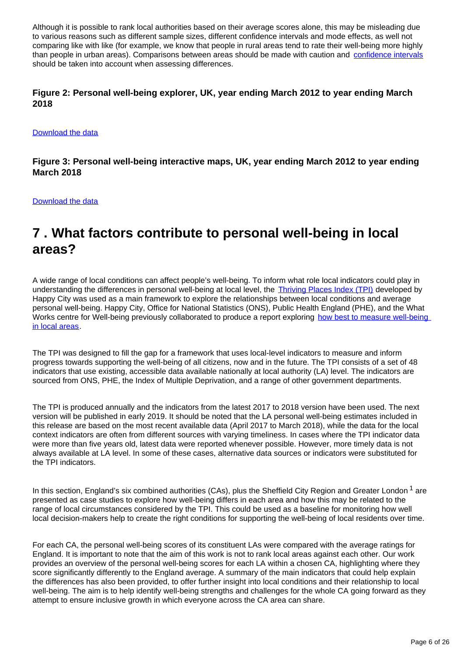Although it is possible to rank local authorities based on their average scores alone, this may be misleading due to various reasons such as different sample sizes, different confidence intervals and mode effects, as well not comparing like with like (for example, we know that people in rural areas tend to rate their well-being more highly than people in urban areas). Comparisons between areas should be made with caution and [confidence intervals](https://www.ons.gov.uk/peoplepopulationandcommunity/wellbeing/datasets/qualityinformationforpersonalwellbeingestimates) should be taken into account when assessing differences.

#### **Figure 2: Personal well-being explorer, UK, year ending March 2012 to year ending March 2018**

#### [Download the data](http:///visualisations/dvc534/personalwellbeing_charts/linechart/data.xlsx)

**Figure 3: Personal well-being interactive maps, UK, year ending March 2012 to year ending March 2018**

[Download the data](http:///visualisations/dvc534/personalwellbeing_charts/map/data.xlsx)

## <span id="page-5-0"></span>**7 . What factors contribute to personal well-being in local areas?**

A wide range of local conditions can affect people's well-being. To inform what role local indicators could play in understanding the differences in personal well-being at local level, the [Thriving Places Index \(TPI\)](http://www.thrivingplacesindex.org/) developed by Happy City was used as a main framework to explore the relationships between local conditions and average personal well-being. Happy City, Office for National Statistics (ONS), Public Health England (PHE), and the What Works centre for Well-being previously collaborated to produce a report exploring how best to measure well-being [in local areas.](https://whatworkswellbeing.org/product/understanding-local-needs-for-wellbeing-data/)

The TPI was designed to fill the gap for a framework that uses local-level indicators to measure and inform progress towards supporting the well-being of all citizens, now and in the future. The TPI consists of a set of 48 indicators that use existing, accessible data available nationally at local authority (LA) level. The indicators are sourced from ONS, PHE, the Index of Multiple Deprivation, and a range of other government departments.

The TPI is produced annually and the indicators from the latest 2017 to 2018 version have been used. The next version will be published in early 2019. It should be noted that the LA personal well-being estimates included in this release are based on the most recent available data (April 2017 to March 2018), while the data for the local context indicators are often from different sources with varying timeliness. In cases where the TPI indicator data were more than five years old, latest data were reported whenever possible. However, more timely data is not always available at LA level. In some of these cases, alternative data sources or indicators were substituted for the TPI indicators.

In this section, England's six combined authorities (CAs), plus the Sheffield City Region and Greater London<sup>1</sup> are presented as case studies to explore how well-being differs in each area and how this may be related to the range of local circumstances considered by the TPI. This could be used as a baseline for monitoring how well local decision-makers help to create the right conditions for supporting the well-being of local residents over time.

For each CA, the personal well-being scores of its constituent LAs were compared with the average ratings for England. It is important to note that the aim of this work is not to rank local areas against each other. Our work provides an overview of the personal well-being scores for each LA within a chosen CA, highlighting where they score significantly differently to the England average. A summary of the main indicators that could help explain the differences has also been provided, to offer further insight into local conditions and their relationship to local well-being. The aim is to help identify well-being strengths and challenges for the whole CA going forward as they attempt to ensure inclusive growth in which everyone across the CA area can share.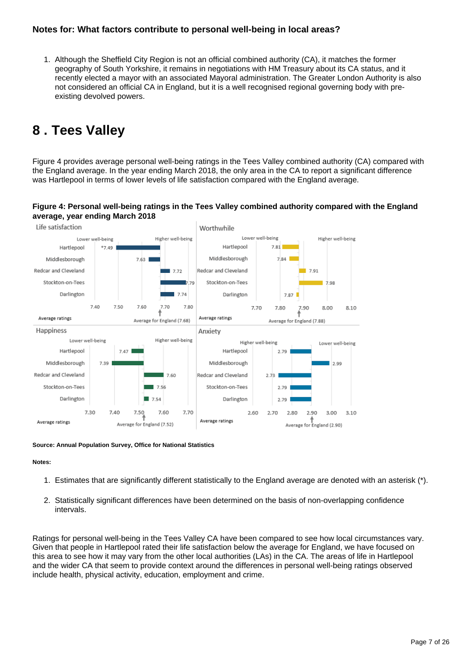#### **Notes for: What factors contribute to personal well-being in local areas?**

1. Although the Sheffield City Region is not an official combined authority (CA), it matches the former geography of South Yorkshire, it remains in negotiations with HM Treasury about its CA status, and it recently elected a mayor with an associated Mayoral administration. The Greater London Authority is also not considered an official CA in England, but it is a well recognised regional governing body with preexisting devolved powers.

## <span id="page-6-0"></span>**8 . Tees Valley**

Figure 4 provides average personal well-being ratings in the Tees Valley combined authority (CA) compared with the England average. In the year ending March 2018, the only area in the CA to report a significant difference was Hartlepool in terms of lower levels of life satisfaction compared with the England average.

#### **Figure 4: Personal well-being ratings in the Tees Valley combined authority compared with the England average, year ending March 2018**



#### **Source: Annual Population Survey, Office for National Statistics**

#### **Notes:**

- 1. Estimates that are significantly different statistically to the England average are denoted with an asterisk (\*).
- 2. Statistically significant differences have been determined on the basis of non-overlapping confidence intervals.

Ratings for personal well-being in the Tees Valley CA have been compared to see how local circumstances vary. Given that people in Hartlepool rated their life satisfaction below the average for England, we have focused on this area to see how it may vary from the other local authorities (LAs) in the CA. The areas of life in Hartlepool and the wider CA that seem to provide context around the differences in personal well-being ratings observed include health, physical activity, education, employment and crime.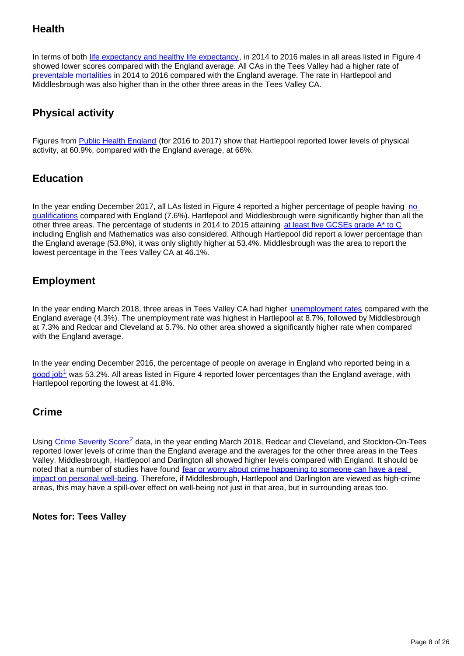## **Health**

In terms of both [life expectancy and healthy life expectancy,](https://www.ons.gov.uk/peoplepopulationandcommunity/healthandsocialcare/healthandlifeexpectancies/bulletins/healthstatelifeexpectanciesuk/2014to2016) in 2014 to 2016 males in all areas listed in Figure 4 showed lower scores compared with the England average. All CAs in the Tees Valley had a higher rate of [preventable mortalities](https://fingertips.phe.org.uk/search/preventable%20mortalities#page/3/gid/1/pat/6/par/E12000002/ati/102/are/E08000012/iid/92488/age/1/sex/4) in 2014 to 2016 compared with the England average. The rate in Hartlepool and Middlesbrough was also higher than in the other three areas in the Tees Valley CA.

## **Physical activity**

Figures from [Public Health England](https://fingertips.phe.org.uk/profile/physical-activity/data#page/9/gid/1938132899/pat/6/par/E12000004/ati/102/are/E06000015/iid/90275/age/164/sex/4) (for 2016 to 2017) show that Hartlepool reported lower levels of physical activity, at 60.9%, compared with the England average, at 66%.

### **Education**

In the year ending December 2017, all LAs listed in Figure 4 reported a higher percentage of people having no [qualifications](https://www.nomisweb.co.uk/reports/lmp/la/1946157348/report.aspx?#tabquals) compared with England (7.6%). Hartlepool and Middlesbrough were significantly higher than all the other three areas. The percentage of students in 2014 to 2015 attaining [at least five GCSEs grade A\\* to C](https://www.gov.uk/government/statistics/revised-gcse-and-equivalent-results-in-england-2014-to-2015) including English and Mathematics was also considered. Although Hartlepool did report a lower percentage than the England average (53.8%), it was only slightly higher at 53.4%. Middlesbrough was the area to report the lowest percentage in the Tees Valley CA at 46.1%.

### **Employment**

In the year ending March 2018, three areas in Tees Valley CA had higher [unemployment rates](https://www.ons.gov.uk/employmentandlabourmarket/peoplenotinwork/unemployment/datasets/modelledunemploymentforlocalandunitaryauthoritiesm01) compared with the England average (4.3%). The unemployment rate was highest in Hartlepool at 8.7%, followed by Middlesbrough at 7.3% and Redcar and Cleveland at 5.7%. No other area showed a significantly higher rate when compared with the England average.

In the year ending December 2016, the percentage of people on average in England who reported being in a good job<sup>1</sup> was 53.2%. All areas listed in Figure 4 reported lower percentages than the England average, with Hartlepool reporting the lowest at 41.8%.

#### **Crime**

Using Crime Severity Score<sup>2</sup> data, in the year ending March 2018, Redcar and Cleveland, and Stockton-On-Tees reported lower levels of crime than the England average and the averages for the other three areas in the Tees Valley. Middlesbrough, Hartlepool and Darlington all showed higher levels compared with England. It should be noted that a number of studies have found fear or worry about crime happening to someone can have a real [impact on personal well-being.](https://www.ons.gov.uk/peoplepopulationandcommunity/crimeandjustice/compendium/crimestatisticsfocusonpublicperceptionsofcrimeandthepoliceandthepersonalwellbeingofvictims/2015-03-26/chapter3personalwellbeingandcrime) Therefore, if Middlesbrough, Hartlepool and Darlington are viewed as high-crime areas, this may have a spill-over effect on well-being not just in that area, but in surrounding areas too.

**Notes for: Tees Valley**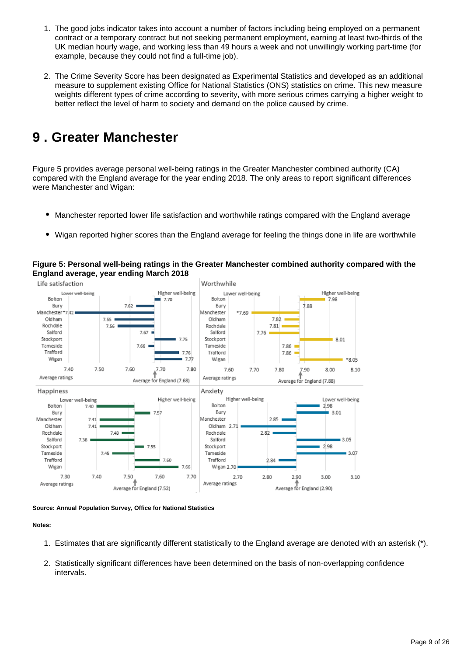- 1. The good jobs indicator takes into account a number of factors including being employed on a permanent contract or a temporary contract but not seeking permanent employment, earning at least two-thirds of the UK median hourly wage, and working less than 49 hours a week and not unwillingly working part-time (for example, because they could not find a full-time job).
- 2. The Crime Severity Score has been designated as Experimental Statistics and developed as an additional measure to supplement existing Office for National Statistics (ONS) statistics on crime. This new measure weights different types of crime according to severity, with more serious crimes carrying a higher weight to better reflect the level of harm to society and demand on the police caused by crime.

## <span id="page-8-0"></span>**9 . Greater Manchester**

Figure 5 provides average personal well-being ratings in the Greater Manchester combined authority (CA) compared with the England average for the year ending 2018. The only areas to report significant differences were Manchester and Wigan:

- Manchester reported lower life satisfaction and worthwhile ratings compared with the England average
- Wigan reported higher scores than the England average for feeling the things done in life are worthwhile



**Figure 5: Personal well-being ratings in the Greater Manchester combined authority compared with the England average, year ending March 2018**

**Source: Annual Population Survey, Office for National Statistics**

#### **Notes:**

- 1. Estimates that are significantly different statistically to the England average are denoted with an asterisk (\*).
- 2. Statistically significant differences have been determined on the basis of non-overlapping confidence intervals.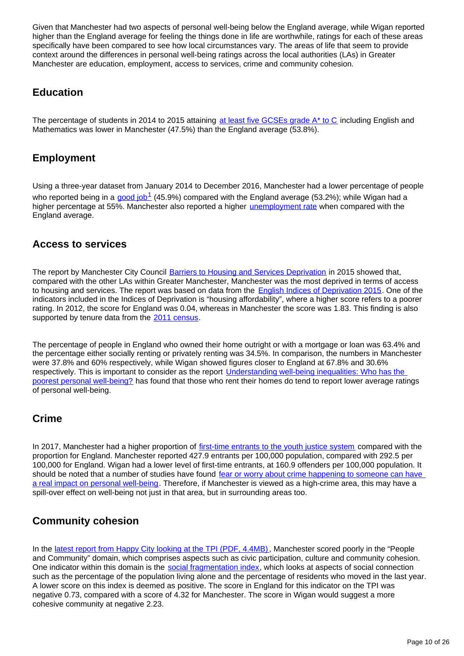Given that Manchester had two aspects of personal well-being below the England average, while Wigan reported higher than the England average for feeling the things done in life are worthwhile, ratings for each of these areas specifically have been compared to see how local circumstances vary. The areas of life that seem to provide context around the differences in personal well-being ratings across the local authorities (LAs) in Greater Manchester are education, employment, access to services, crime and community cohesion.

#### **Education**

The percentage of students in 2014 to 2015 attaining [at least five GCSEs grade A\\* to C](https://www.gov.uk/government/statistics/revised-gcse-and-equivalent-results-in-england-2014-to-2015) including English and Mathematics was lower in Manchester (47.5%) than the England average (53.8%).

### **Employment**

Using a three-year dataset from January 2014 to December 2016, Manchester had a lower percentage of people who reported being in a good job<sup>1</sup> (45.9%) compared with the England average (53.2%); while Wigan had a higher percentage at 55%. Manchester also reported a higher *[unemployment rate](https://www.ons.gov.uk/employmentandlabourmarket/peoplenotinwork/unemployment/datasets/modelledunemploymentforlocalandunitaryauthoritiesm01)* when compared with the England average.

### **Access to services**

The report by Manchester City Council [Barriers to Housing and Services Deprivation](https://www.manchester.gov.uk/download/downloads/id/23625/f7_indices_of_deprivation_2015_-_barriers_to_housing_and_services_deprivation.pdf) in 2015 showed that, compared with the other LAs within Greater Manchester, Manchester was the most deprived in terms of access to housing and services. The report was based on data from the [English Indices of Deprivation 2015](https://www.gov.uk/government/statistics/english-indices-of-deprivation-2015). One of the indicators included in the Indices of Deprivation is "housing affordability", where a higher score refers to a poorer rating. In 2012, the score for England was 0.04, whereas in Manchester the score was 1.83. This finding is also supported by tenure data from the [2011 census.](https://www.ons.gov.uk/peoplepopulationandcommunity/populationandmigration/populationestimates/datasets/2011censuskeystatisticsandquickstatisticsforlocalauthoritiesintheunitedkingdompart1)

The percentage of people in England who owned their home outright or with a mortgage or loan was 63.4% and the percentage either socially renting or privately renting was 34.5%. In comparison, the numbers in Manchester were 37.8% and 60% respectively, while Wigan showed figures closer to England at 67.8% and 30.6% respectively. This is important to consider as the report [Understanding well-being inequalities: Who has the](https://www.ons.gov.uk/peoplepopulationandcommunity/wellbeing/articles/understandingwellbeinginequalitieswhohasthepoorestpersonalwellbeing/2018-07-11)  [poorest personal well-being?](https://www.ons.gov.uk/peoplepopulationandcommunity/wellbeing/articles/understandingwellbeinginequalitieswhohasthepoorestpersonalwellbeing/2018-07-11) has found that those who rent their homes do tend to report lower average ratings of personal well-being.

### **Crime**

In 2017, Manchester had a higher proportion of [first-time entrants to the youth justice system](https://fingertips.phe.org.uk/profile/public-health-outcomes-framework/data#page/9/gid/1000041/pat/6/par/E12000004/ati/102/are/E06000015/iid/10401/age/211/sex/4/nn/nn-1-E06000015) compared with the proportion for England. Manchester reported 427.9 entrants per 100,000 population, compared with 292.5 per 100,000 for England. Wigan had a lower level of first-time entrants, at 160.9 offenders per 100,000 population. It should be noted that a number of studies have found fear or worry about crime happening to someone can have [a real impact on personal well-being](https://www.ons.gov.uk/peoplepopulationandcommunity/crimeandjustice/compendium/crimestatisticsfocusonpublicperceptionsofcrimeandthepoliceandthepersonalwellbeingofvictims/2015-03-26/chapter3personalwellbeingandcrime). Therefore, if Manchester is viewed as a high-crime area, this may have a spill-over effect on well-being not just in that area, but in surrounding areas too.

### **Community cohesion**

In the [latest report from Happy City looking at the TPI \(PDF, 4.4MB\),](https://s3.eu-west-2.amazonaws.com/hcindex-files/docs/THRIVING_PLACES_INDEX_FULL_REPORT_FINAL.pdf) Manchester scored poorly in the "People and Community" domain, which comprises aspects such as civic participation, culture and community cohesion. One indicator within this domain is the [social fragmentation index](https://s3.eu-west-2.amazonaws.com/hcindex-files/docs/THRIVING_PLACES_INDEX_METHODOLOGY.pdf), which looks at aspects of social connection such as the percentage of the population living alone and the percentage of residents who moved in the last year. A lower score on this index is deemed as positive. The score in England for this indicator on the TPI was negative 0.73, compared with a score of 4.32 for Manchester. The score in Wigan would suggest a more cohesive community at negative 2.23.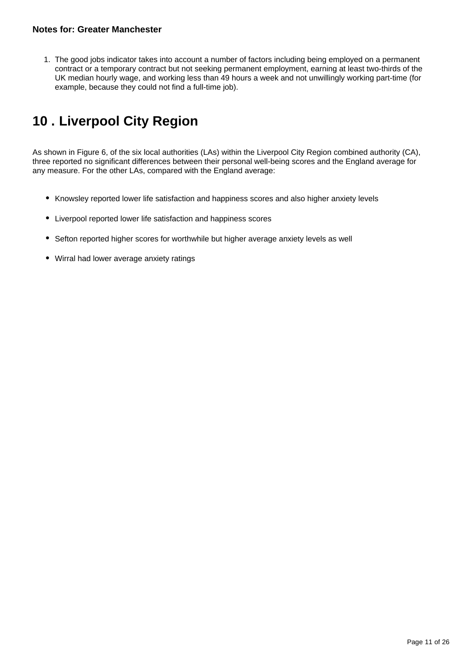1. The good jobs indicator takes into account a number of factors including being employed on a permanent contract or a temporary contract but not seeking permanent employment, earning at least two-thirds of the UK median hourly wage, and working less than 49 hours a week and not unwillingly working part-time (for example, because they could not find a full-time job).

# <span id="page-10-0"></span>**10 . Liverpool City Region**

As shown in Figure 6, of the six local authorities (LAs) within the Liverpool City Region combined authority (CA), three reported no significant differences between their personal well-being scores and the England average for any measure. For the other LAs, compared with the England average:

- Knowsley reported lower life satisfaction and happiness scores and also higher anxiety levels
- Liverpool reported lower life satisfaction and happiness scores
- Sefton reported higher scores for worthwhile but higher average anxiety levels as well
- Wirral had lower average anxiety ratings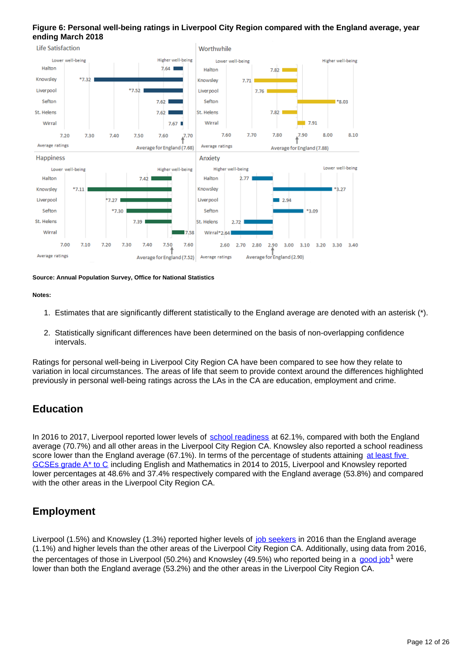#### **Figure 6: Personal well-being ratings in Liverpool City Region compared with the England average, year ending March 2018**



**Source: Annual Population Survey, Office for National Statistics**

#### **Notes:**

- 1. Estimates that are significantly different statistically to the England average are denoted with an asterisk (\*).
- 2. Statistically significant differences have been determined on the basis of non-overlapping confidence intervals.

Ratings for personal well-being in Liverpool City Region CA have been compared to see how they relate to variation in local circumstances. The areas of life that seem to provide context around the differences highlighted previously in personal well-being ratings across the LAs in the CA are education, employment and crime.

### **Education**

In 2016 to 2017, Liverpool reported lower levels of [school readiness](https://fingertips.phe.org.uk/profile/public-health-outcomes-framework/data#page/3/gid/1000041/pat/6/par/E12000004/ati/102/are/E10000018/iid/90632/age/34/sex/4) at 62.1%, compared with both the England average (70.7%) and all other areas in the Liverpool City Region CA. Knowsley also reported a school readiness score lower than the England average (67.1%). In terms of the percentage of students attaining at least five GCSEs grade A<sup>\*</sup> to C including English and Mathematics in 2014 to 2015, Liverpool and Knowsley reported lower percentages at 48.6% and 37.4% respectively compared with the England average (53.8%) and compared with the other areas in the Liverpool City Region CA.

### **Employment**

Liverpool (1.5%) and Knowsley (1.3%) reported higher levels of [job seekers](https://www.nomisweb.co.uk/reports/lmp/la/1946157348/subreports/dwp_compared/report.aspx?) in 2016 than the England average (1.1%) and higher levels than the other areas of the Liverpool City Region CA. Additionally, using data from 2016, the percentages of those in Liverpool (50.2%) and Knowsley (49.5%) who reported being in a [good job](https://www.ons.gov.uk/employmentandlabourmarket/peopleinwork/employmentandemployeetypes/adhocs/007601estimatedproportionofeconomicallyactiveadultsinagoodjobcustomerdefinedandestimatedproportionoflifelonglearnersukthreeyearsendingdecember2016)<sup>1</sup> were lower than both the England average (53.2%) and the other areas in the Liverpool City Region CA.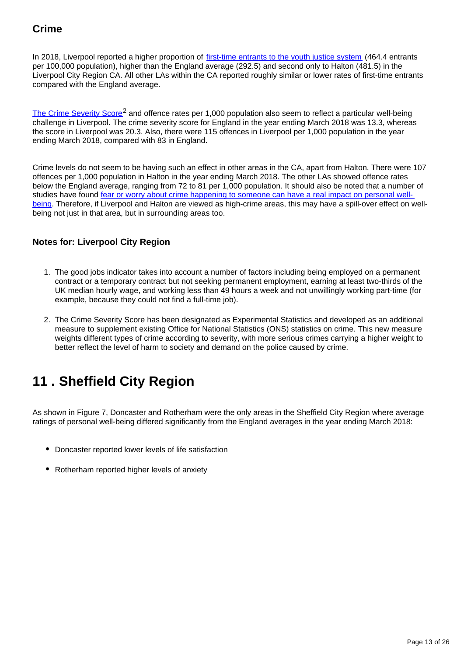## **Crime**

In 2018, Liverpool reported a higher proportion of [first-time entrants to the youth justice system](https://fingertips.phe.org.uk/profile/public-health-outcomes-framework/data#page/9/gid/1000041/pat/6/par/E12000004/ati/102/are/E06000015/iid/10401/age/211/sex/4/nn/nn-1-E06000015) (464.4 entrants per 100,000 population), higher than the England average (292.5) and second only to Halton (481.5) in the Liverpool City Region CA. All other LAs within the CA reported roughly similar or lower rates of first-time entrants compared with the England average.

[The Crime Severity Score](https://www.ons.gov.uk/peoplepopulationandcommunity/crimeandjustice/datasets/crimeseverityscoreexperimentalstatistics)<sup>2</sup> and offence rates per 1,000 population also seem to reflect a particular well-being challenge in Liverpool. The crime severity score for England in the year ending March 2018 was 13.3, whereas the score in Liverpool was 20.3. Also, there were 115 offences in Liverpool per 1,000 population in the year ending March 2018, compared with 83 in England.

Crime levels do not seem to be having such an effect in other areas in the CA, apart from Halton. There were 107 offences per 1,000 population in Halton in the year ending March 2018. The other LAs showed offence rates below the England average, ranging from 72 to 81 per 1,000 population. It should also be noted that a number of studies have found [fear or worry about crime happening to someone can have a real impact on personal well](https://www.ons.gov.uk/peoplepopulationandcommunity/crimeandjustice/compendium/crimestatisticsfocusonpublicperceptionsofcrimeandthepoliceandthepersonalwellbeingofvictims/2015-03-26/chapter3personalwellbeingandcrime)[being](https://www.ons.gov.uk/peoplepopulationandcommunity/crimeandjustice/compendium/crimestatisticsfocusonpublicperceptionsofcrimeandthepoliceandthepersonalwellbeingofvictims/2015-03-26/chapter3personalwellbeingandcrime). Therefore, if Liverpool and Halton are viewed as high-crime areas, this may have a spill-over effect on wellbeing not just in that area, but in surrounding areas too.

#### **Notes for: Liverpool City Region**

- 1. The good jobs indicator takes into account a number of factors including being employed on a permanent contract or a temporary contract but not seeking permanent employment, earning at least two-thirds of the UK median hourly wage, and working less than 49 hours a week and not unwillingly working part-time (for example, because they could not find a full-time job).
- 2. The Crime Severity Score has been designated as Experimental Statistics and developed as an additional measure to supplement existing Office for National Statistics (ONS) statistics on crime. This new measure weights different types of crime according to severity, with more serious crimes carrying a higher weight to better reflect the level of harm to society and demand on the police caused by crime.

# <span id="page-12-0"></span>**11 . Sheffield City Region**

As shown in Figure 7, Doncaster and Rotherham were the only areas in the Sheffield City Region where average ratings of personal well-being differed significantly from the England averages in the year ending March 2018:

- Doncaster reported lower levels of life satisfaction
- Rotherham reported higher levels of anxiety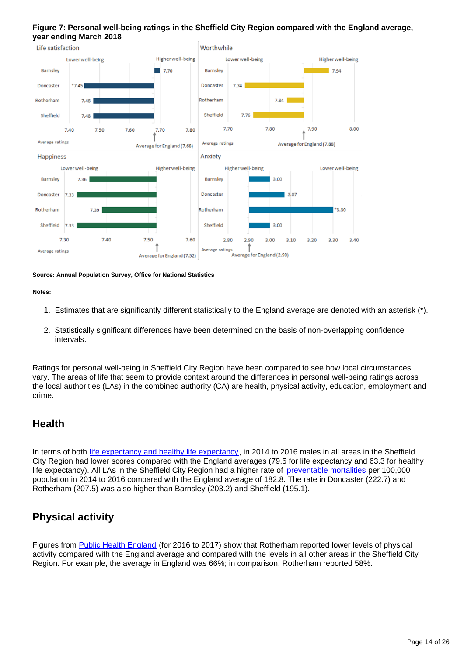#### **Figure 7: Personal well-being ratings in the Sheffield City Region compared with the England average, year ending March 2018**



**Source: Annual Population Survey, Office for National Statistics**

#### **Notes:**

- 1. Estimates that are significantly different statistically to the England average are denoted with an asterisk (\*).
- 2. Statistically significant differences have been determined on the basis of non-overlapping confidence intervals.

Ratings for personal well-being in Sheffield City Region have been compared to see how local circumstances vary. The areas of life that seem to provide context around the differences in personal well-being ratings across the local authorities (LAs) in the combined authority (CA) are health, physical activity, education, employment and crime.

#### **Health**

In terms of both [life expectancy and healthy life expectancy,](https://www.ons.gov.uk/peoplepopulationandcommunity/healthandsocialcare/healthandlifeexpectancies/bulletins/healthstatelifeexpectanciesuk/2014to2016) in 2014 to 2016 males in all areas in the Sheffield City Region had lower scores compared with the England averages (79.5 for life expectancy and 63.3 for healthy life expectancy). All LAs in the Sheffield City Region had a higher rate of [preventable mortalities](https://fingertips.phe.org.uk/search/preventable%20mortalities#page/3/gid/1/pat/6/par/E12000002/ati/102/are/E08000012/iid/92488/age/1/sex/4) per 100,000 population in 2014 to 2016 compared with the England average of 182.8. The rate in Doncaster (222.7) and Rotherham (207.5) was also higher than Barnsley (203.2) and Sheffield (195.1).

### **Physical activity**

Figures from [Public Health England](https://fingertips.phe.org.uk/profile/physical-activity/data#page/9/gid/1938132899/pat/6/par/E12000004/ati/102/are/E06000015/iid/90275/age/164/sex/4) (for 2016 to 2017) show that Rotherham reported lower levels of physical activity compared with the England average and compared with the levels in all other areas in the Sheffield City Region. For example, the average in England was 66%; in comparison, Rotherham reported 58%.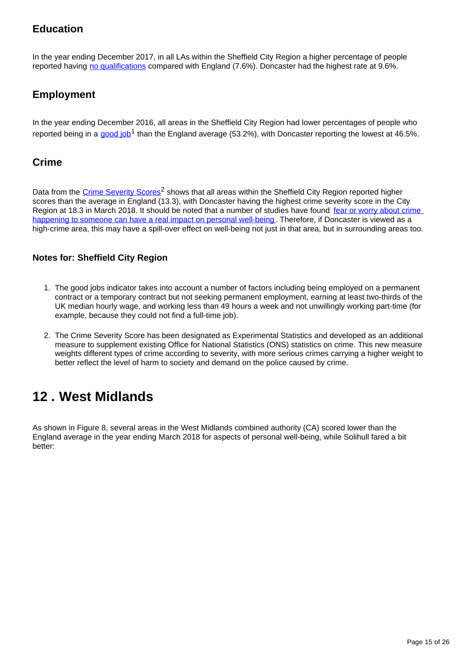## **Education**

In the year ending December 2017, in all LAs within the Sheffield City Region a higher percentage of people reported having [no qualifications](https://www.nomisweb.co.uk/reports/lmp/la/1946157348/report.aspx?#tabquals) compared with England (7.6%). Doncaster had the highest rate at 9.6%.

## **Employment**

In the year ending December 2016, all areas in the Sheffield City Region had lower percentages of people who reported being in a [good job](https://www.ons.gov.uk/employmentandlabourmarket/peopleinwork/employmentandemployeetypes/adhocs/007601estimatedproportionofeconomicallyactiveadultsinagoodjobcustomerdefinedandestimatedproportionoflifelonglearnersukthreeyearsendingdecember2016)<sup>1</sup> than the England average (53.2%), with Doncaster reporting the lowest at 46.5%.

### **Crime**

Data from the [Crime Severity Scores](https://www.ons.gov.uk/peoplepopulationandcommunity/crimeandjustice/datasets/crimeseverityscoreexperimentalstatistics)<sup>2</sup> shows that all areas within the Sheffield City Region reported higher scores than the average in England (13.3), with Doncaster having the highest crime severity score in the City Region at 18.3 in March 2018. It should be noted that a number of studies have found [fear or worry about crime](https://www.ons.gov.uk/peoplepopulationandcommunity/crimeandjustice/compendium/crimestatisticsfocusonpublicperceptionsofcrimeandthepoliceandthepersonalwellbeingofvictims/2015-03-26/chapter3personalwellbeingandcrime)  [happening to someone can have a real impact on personal well-being.](https://www.ons.gov.uk/peoplepopulationandcommunity/crimeandjustice/compendium/crimestatisticsfocusonpublicperceptionsofcrimeandthepoliceandthepersonalwellbeingofvictims/2015-03-26/chapter3personalwellbeingandcrime) Therefore, if Doncaster is viewed as a high-crime area, this may have a spill-over effect on well-being not just in that area, but in surrounding areas too.

#### **Notes for: Sheffield City Region**

- 1. The good jobs indicator takes into account a number of factors including being employed on a permanent contract or a temporary contract but not seeking permanent employment, earning at least two-thirds of the UK median hourly wage, and working less than 49 hours a week and not unwillingly working part-time (for example, because they could not find a full-time job).
- 2. The Crime Severity Score has been designated as Experimental Statistics and developed as an additional measure to supplement existing Office for National Statistics (ONS) statistics on crime. This new measure weights different types of crime according to severity, with more serious crimes carrying a higher weight to better reflect the level of harm to society and demand on the police caused by crime.

# <span id="page-14-0"></span>**12 . West Midlands**

As shown in Figure 8, several areas in the West Midlands combined authority (CA) scored lower than the England average in the year ending March 2018 for aspects of personal well-being, while Solihull fared a bit better: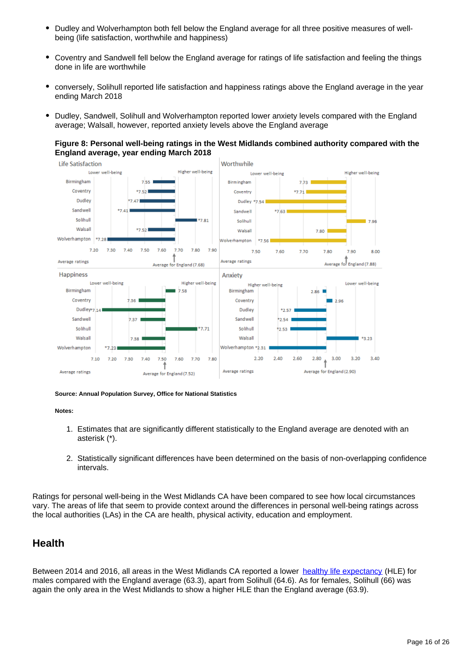- $\bullet$ Dudley and Wolverhampton both fell below the England average for all three positive measures of wellbeing (life satisfaction, worthwhile and happiness)
- $\bullet$ Coventry and Sandwell fell below the England average for ratings of life satisfaction and feeling the things done in life are worthwhile
- conversely, Solihull reported life satisfaction and happiness ratings above the England average in the year ending March 2018
- $\bullet$ Dudley, Sandwell, Solihull and Wolverhampton reported lower anxiety levels compared with the England average; Walsall, however, reported anxiety levels above the England average

#### **Figure 8: Personal well-being ratings in the West Midlands combined authority compared with the England average, year ending March 2018**



#### **Source: Annual Population Survey, Office for National Statistics**

#### **Notes:**

- 1. Estimates that are significantly different statistically to the England average are denoted with an asterisk (\*).
- 2. Statistically significant differences have been determined on the basis of non-overlapping confidence intervals.

Ratings for personal well-being in the West Midlands CA have been compared to see how local circumstances vary. The areas of life that seem to provide context around the differences in personal well-being ratings across the local authorities (LAs) in the CA are health, physical activity, education and employment.

#### **Health**

Between 2014 and 2016, all areas in the West Midlands CA reported a lower [healthy life expectancy](https://www.ons.gov.uk/peoplepopulationandcommunity/healthandsocialcare/healthandlifeexpectancies/bulletins/healthstatelifeexpectanciesuk/2014to2016) (HLE) for males compared with the England average (63.3), apart from Solihull (64.6). As for females, Solihull (66) was again the only area in the West Midlands to show a higher HLE than the England average (63.9).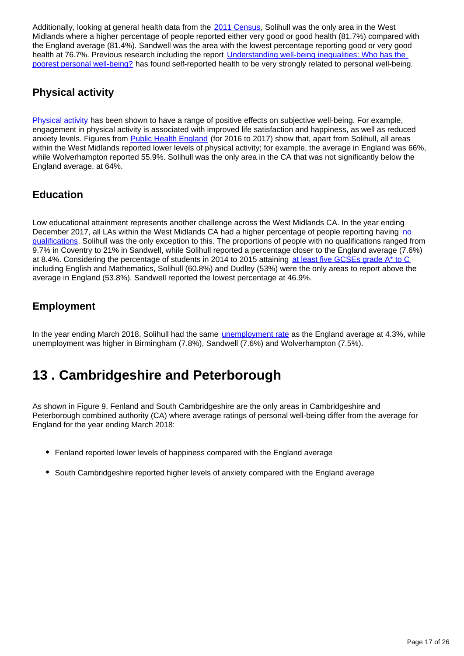Additionally, looking at general health data from the [2011 Census,](https://www.ons.gov.uk/peoplepopulationandcommunity/populationandmigration/populationestimates/datasets/2011censuskeystatisticsandquickstatisticsforlocalauthoritiesintheunitedkingdompart1) Solihull was the only area in the West Midlands where a higher percentage of people reported either very good or good health (81.7%) compared with the England average (81.4%). Sandwell was the area with the lowest percentage reporting good or very good health at 76.7%. Previous research including the report Understanding well-being inequalities: Who has the [poorest personal well-being?](https://www.ons.gov.uk/peoplepopulationandcommunity/wellbeing/articles/understandingwellbeinginequalitieswhohasthepoorestpersonalwellbeing/2018-07-11) has found self-reported health to be very strongly related to personal well-being.

### **Physical activity**

[Physical activity](https://whatworkswellbeing.org/product/sport-dance-and-physical-activity-secondary-analysis/) has been shown to have a range of positive effects on subjective well-being. For example, engagement in physical activity is associated with improved life satisfaction and happiness, as well as reduced anxiety levels. Figures from [Public Health England](https://fingertips.phe.org.uk/profile/physical-activity/data#page/9/gid/1938132899/pat/6/par/E12000004/ati/102/are/E06000015/iid/90275/age/164/sex/4) (for 2016 to 2017) show that, apart from Solihull, all areas within the West Midlands reported lower levels of physical activity; for example, the average in England was 66%, while Wolverhampton reported 55.9%. Solihull was the only area in the CA that was not significantly below the England average, at 64%.

### **Education**

Low educational attainment represents another challenge across the West Midlands CA. In the year ending December 2017, all LAs within the West Midlands CA had a higher percentage of people reporting having no [qualifications](https://www.nomisweb.co.uk/reports/lmp/la/1946157348/report.aspx?#tabquals). Solihull was the only exception to this. The proportions of people with no qualifications ranged from 9.7% in Coventry to 21% in Sandwell, while Solihull reported a percentage closer to the England average (7.6%) at 8.4%. Considering the percentage of students in 2014 to 2015 attaining [at least five GCSEs grade A\\* to C](https://www.gov.uk/government/statistics/revised-gcse-and-equivalent-results-in-england-2014-to-2015) including English and Mathematics, Solihull (60.8%) and Dudley (53%) were the only areas to report above the average in England (53.8%). Sandwell reported the lowest percentage at 46.9%.

## **Employment**

In the year ending March 2018, Solihull had the same [unemployment rate](https://www.ons.gov.uk/employmentandlabourmarket/peoplenotinwork/unemployment/datasets/modelledunemploymentforlocalandunitaryauthoritiesm01) as the England average at 4.3%, while unemployment was higher in Birmingham (7.8%), Sandwell (7.6%) and Wolverhampton (7.5%).

# <span id="page-16-0"></span>**13 . Cambridgeshire and Peterborough**

As shown in Figure 9, Fenland and South Cambridgeshire are the only areas in Cambridgeshire and Peterborough combined authority (CA) where average ratings of personal well-being differ from the average for England for the year ending March 2018:

- Fenland reported lower levels of happiness compared with the England average
- South Cambridgeshire reported higher levels of anxiety compared with the England average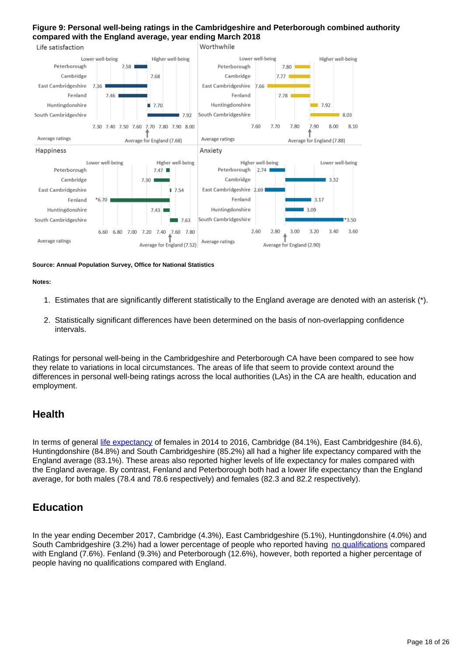#### **Figure 9: Personal well-being ratings in the Cambridgeshire and Peterborough combined authority compared with the England average, year ending March 2018**



#### **Source: Annual Population Survey, Office for National Statistics**

#### **Notes:**

- 1. Estimates that are significantly different statistically to the England average are denoted with an asterisk (\*).
- 2. Statistically significant differences have been determined on the basis of non-overlapping confidence intervals.

Ratings for personal well-being in the Cambridgeshire and Peterborough CA have been compared to see how they relate to variations in local circumstances. The areas of life that seem to provide context around the differences in personal well-being ratings across the local authorities (LAs) in the CA are health, education and employment.

#### **Health**

In terms of general [life expectancy](https://www.ons.gov.uk/peoplepopulationandcommunity/healthandsocialcare/healthandlifeexpectancies/bulletins/healthstatelifeexpectanciesuk/2014to2016) of females in 2014 to 2016, Cambridge (84.1%), East Cambridgeshire (84.6), Huntingdonshire (84.8%) and South Cambridgeshire (85.2%) all had a higher life expectancy compared with the England average (83.1%). These areas also reported higher levels of life expectancy for males compared with the England average. By contrast, Fenland and Peterborough both had a lower life expectancy than the England average, for both males (78.4 and 78.6 respectively) and females (82.3 and 82.2 respectively).

### **Education**

In the year ending December 2017, Cambridge (4.3%), East Cambridgeshire (5.1%), Huntingdonshire (4.0%) and South Cambridgeshire (3.2%) had a lower percentage of people who reported having [no qualifications](https://www.nomisweb.co.uk/reports/lmp/la/1946157348/report.aspx?#tabquals) compared with England (7.6%). Fenland (9.3%) and Peterborough (12.6%), however, both reported a higher percentage of people having no qualifications compared with England.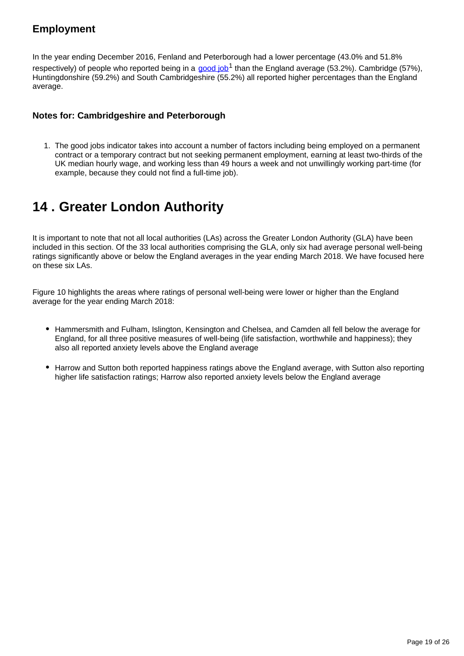## **Employment**

In the year ending December 2016, Fenland and Peterborough had a lower percentage (43.0% and 51.8% respectively) of people who reported being in a [good job](https://www.ons.gov.uk/employmentandlabourmarket/peopleinwork/employmentandemployeetypes/adhocs/007601estimatedproportionofeconomicallyactiveadultsinagoodjobcustomerdefinedandestimatedproportionoflifelonglearnersukthreeyearsendingdecember2016)<sup>1</sup> than the England average (53.2%). Cambridge (57%), Huntingdonshire (59.2%) and South Cambridgeshire (55.2%) all reported higher percentages than the England average.

#### **Notes for: Cambridgeshire and Peterborough**

1. The good jobs indicator takes into account a number of factors including being employed on a permanent contract or a temporary contract but not seeking permanent employment, earning at least two-thirds of the UK median hourly wage, and working less than 49 hours a week and not unwillingly working part-time (for example, because they could not find a full-time job).

# <span id="page-18-0"></span>**14 . Greater London Authority**

It is important to note that not all local authorities (LAs) across the Greater London Authority (GLA) have been included in this section. Of the 33 local authorities comprising the GLA, only six had average personal well-being ratings significantly above or below the England averages in the year ending March 2018. We have focused here on these six LAs.

Figure 10 highlights the areas where ratings of personal well-being were lower or higher than the England average for the year ending March 2018:

- Hammersmith and Fulham, Islington, Kensington and Chelsea, and Camden all fell below the average for England, for all three positive measures of well-being (life satisfaction, worthwhile and happiness); they also all reported anxiety levels above the England average
- Harrow and Sutton both reported happiness ratings above the England average, with Sutton also reporting higher life satisfaction ratings; Harrow also reported anxiety levels below the England average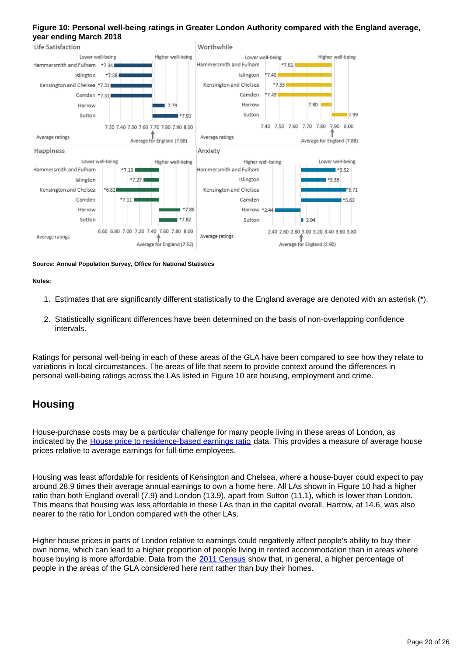#### **Figure 10: Personal well-being ratings in Greater London Authority compared with the England average, year ending March 2018**



#### **Source: Annual Population Survey, Office for National Statistics**

**Notes:**

- 1. Estimates that are significantly different statistically to the England average are denoted with an asterisk (\*).
- 2. Statistically significant differences have been determined on the basis of non-overlapping confidence intervals.

Ratings for personal well-being in each of these areas of the GLA have been compared to see how they relate to variations in local circumstances. The areas of life that seem to provide context around the differences in personal well-being ratings across the LAs listed in Figure 10 are housing, employment and crime.

#### **Housing**

House-purchase costs may be a particular challenge for many people living in these areas of London, as indicated by the [House price to residence-based earnings ratio](https://www.ons.gov.uk/peoplepopulationandcommunity/housing/datasets/ratioofhousepricetoresidencebasedearningslowerquartileandmedian) data. This provides a measure of average house prices relative to average earnings for full-time employees.

Housing was least affordable for residents of Kensington and Chelsea, where a house-buyer could expect to pay around 28.9 times their average annual earnings to own a home here. All LAs shown in Figure 10 had a higher ratio than both England overall (7.9) and London (13.9), apart from Sutton (11.1), which is lower than London. This means that housing was less affordable in these LAs than in the capital overall. Harrow, at 14.6, was also nearer to the ratio for London compared with the other LAs.

Higher house prices in parts of London relative to earnings could negatively affect people's ability to buy their own home, which can lead to a higher proportion of people living in rented accommodation than in areas where house buying is more affordable. Data from the [2011 Census](https://www.ons.gov.uk/peoplepopulationandcommunity/populationandmigration/populationestimates/datasets/2011censuskeystatisticsandquickstatisticsforlocalauthoritiesintheunitedkingdompart1) show that, in general, a higher percentage of people in the areas of the GLA considered here rent rather than buy their homes.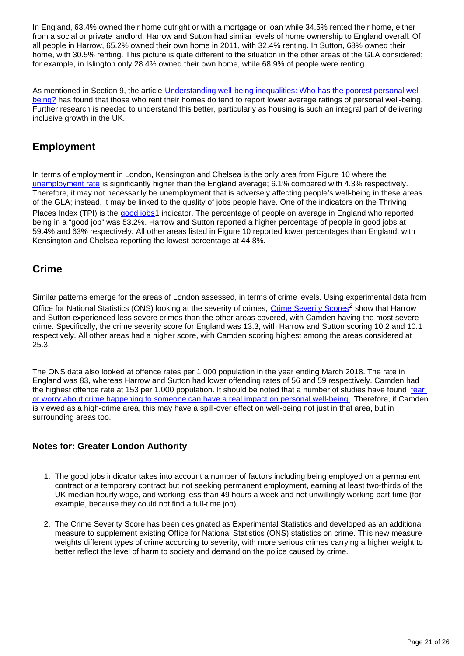In England, 63.4% owned their home outright or with a mortgage or loan while 34.5% rented their home, either from a social or private landlord. Harrow and Sutton had similar levels of home ownership to England overall. Of all people in Harrow, 65.2% owned their own home in 2011, with 32.4% renting. In Sutton, 68% owned their home, with 30.5% renting. This picture is quite different to the situation in the other areas of the GLA considered; for example, in Islington only 28.4% owned their own home, while 68.9% of people were renting.

As mentioned in Section 9, the article [Understanding well-being inequalities: Who has the poorest personal well](https://www.ons.gov.uk/peoplepopulationandcommunity/wellbeing/articles/understandingwellbeinginequalitieswhohasthepoorestpersonalwellbeing/2018-07-11)[being?](https://www.ons.gov.uk/peoplepopulationandcommunity/wellbeing/articles/understandingwellbeinginequalitieswhohasthepoorestpersonalwellbeing/2018-07-11) has found that those who rent their homes do tend to report lower average ratings of personal well-being. Further research is needed to understand this better, particularly as housing is such an integral part of delivering inclusive growth in the UK.

## **Employment**

In terms of employment in London, Kensington and Chelsea is the only area from Figure 10 where the [unemployment rate](https://www.ons.gov.uk/employmentandlabourmarket/peoplenotinwork/unemployment/datasets/modelledunemploymentforlocalandunitaryauthoritiesm01) is significantly higher than the England average; 6.1% compared with 4.3% respectively. Therefore, it may not necessarily be unemployment that is adversely affecting people's well-being in these areas of the GLA; instead, it may be linked to the quality of jobs people have. One of the indicators on the Thriving Places Index (TPI) is the [good jobs1](https://www.ons.gov.uk/employmentandlabourmarket/peopleinwork/employmentandemployeetypes/adhocs/007601estimatedproportionofeconomicallyactiveadultsinagoodjobcustomerdefinedandestimatedproportionoflifelonglearnersukthreeyearsendingdecember2016) indicator. The percentage of people on average in England who reported being in a "good job" was 53.2%. Harrow and Sutton reported a higher percentage of people in good jobs at 59.4% and 63% respectively. All other areas listed in Figure 10 reported lower percentages than England, with Kensington and Chelsea reporting the lowest percentage at 44.8%.

### **Crime**

Similar patterns emerge for the areas of London assessed, in terms of crime levels. Using experimental data from Office for National Statistics (ONS) looking at the severity of crimes, [Crime Severity Scores](https://www.ons.gov.uk/peoplepopulationandcommunity/crimeandjustice/datasets/crimeseverityscoreexperimentalstatistics)<sup>2</sup> show that Harrow and Sutton experienced less severe crimes than the other areas covered, with Camden having the most severe crime. Specifically, the crime severity score for England was 13.3, with Harrow and Sutton scoring 10.2 and 10.1 respectively. All other areas had a higher score, with Camden scoring highest among the areas considered at 25.3.

The ONS data also looked at offence rates per 1,000 population in the year ending March 2018. The rate in England was 83, whereas Harrow and Sutton had lower offending rates of 56 and 59 respectively. Camden had the highest offence rate at 153 per 1,000 population. It should be noted that a number of studies have found fear [or worry about crime happening to someone can have a real impact on personal well-being](https://www.ons.gov.uk/peoplepopulationandcommunity/crimeandjustice/compendium/crimestatisticsfocusonpublicperceptionsofcrimeandthepoliceandthepersonalwellbeingofvictims/2015-03-26/chapter3personalwellbeingandcrime). Therefore, if Camden is viewed as a high-crime area, this may have a spill-over effect on well-being not just in that area, but in surrounding areas too.

#### **Notes for: Greater London Authority**

- 1. The good jobs indicator takes into account a number of factors including being employed on a permanent contract or a temporary contract but not seeking permanent employment, earning at least two-thirds of the UK median hourly wage, and working less than 49 hours a week and not unwillingly working part-time (for example, because they could not find a full-time job).
- 2. The Crime Severity Score has been designated as Experimental Statistics and developed as an additional measure to supplement existing Office for National Statistics (ONS) statistics on crime. This new measure weights different types of crime according to severity, with more serious crimes carrying a higher weight to better reflect the level of harm to society and demand on the police caused by crime.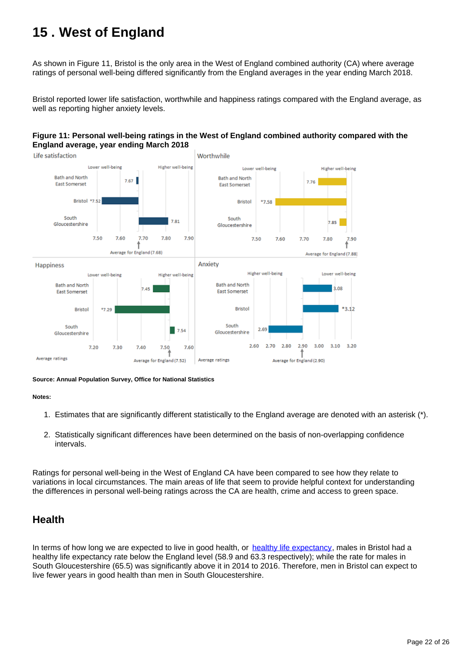# <span id="page-21-0"></span>**15 . West of England**

As shown in Figure 11, Bristol is the only area in the West of England combined authority (CA) where average ratings of personal well-being differed significantly from the England averages in the year ending March 2018.

Bristol reported lower life satisfaction, worthwhile and happiness ratings compared with the England average, as well as reporting higher anxiety levels.

#### **Figure 11: Personal well-being ratings in the West of England combined authority compared with the England average, year ending March 2018**



**Source: Annual Population Survey, Office for National Statistics**

#### **Notes:**

- 1. Estimates that are significantly different statistically to the England average are denoted with an asterisk (\*).
- 2. Statistically significant differences have been determined on the basis of non-overlapping confidence intervals.

Ratings for personal well-being in the West of England CA have been compared to see how they relate to variations in local circumstances. The main areas of life that seem to provide helpful context for understanding the differences in personal well-being ratings across the CA are health, crime and access to green space.

#### **Health**

In terms of how long we are expected to live in good health, or [healthy life expectancy](https://www.ons.gov.uk/peoplepopulationandcommunity/healthandsocialcare/healthandlifeexpectancies/bulletins/healthstatelifeexpectanciesuk/2014to2016), males in Bristol had a healthy life expectancy rate below the England level (58.9 and 63.3 respectively); while the rate for males in South Gloucestershire (65.5) was significantly above it in 2014 to 2016. Therefore, men in Bristol can expect to live fewer years in good health than men in South Gloucestershire.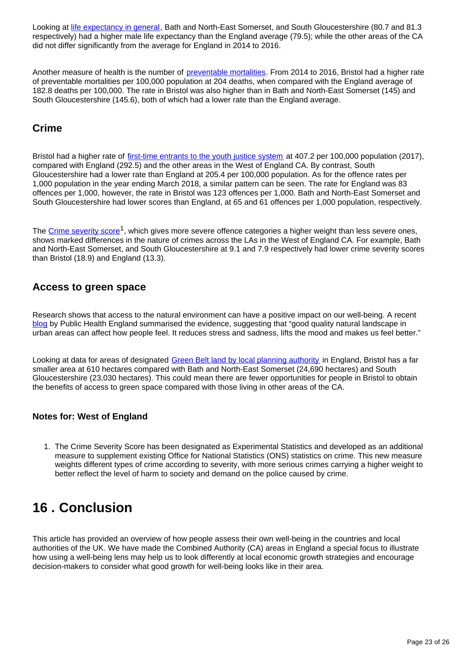Looking at [life expectancy in general,](https://www.ons.gov.uk/peoplepopulationandcommunity/healthandsocialcare/healthandlifeexpectancies/bulletins/healthstatelifeexpectanciesuk/2014to2016) Bath and North-East Somerset, and South Gloucestershire (80.7 and 81.3 respectively) had a higher male life expectancy than the England average (79.5); while the other areas of the CA did not differ significantly from the average for England in 2014 to 2016.

Another measure of health is the number of [preventable mortalities](https://fingertips.phe.org.uk/search/preventable%20mortalities#page/3/gid/1/pat/6/par/E12000002/ati/102/are/E08000012/iid/92488/age/1/sex/4). From 2014 to 2016, Bristol had a higher rate of preventable mortalities per 100,000 population at 204 deaths, when compared with the England average of 182.8 deaths per 100,000. The rate in Bristol was also higher than in Bath and North-East Somerset (145) and South Gloucestershire (145.6), both of which had a lower rate than the England average.

### **Crime**

Bristol had a higher rate of [first-time entrants to the youth justice system](https://fingertips.phe.org.uk/profile/public-health-outcomes-framework/data#page/9/gid/1000041/pat/6/par/E12000004/ati/102/are/E06000015/iid/10401/age/211/sex/4/nn/nn-1-E06000015) at 407.2 per 100,000 population (2017). compared with England (292.5) and the other areas in the West of England CA. By contrast, South Gloucestershire had a lower rate than England at 205.4 per 100,000 population. As for the offence rates per 1,000 population in the year ending March 2018, a similar pattern can be seen. The rate for England was 83 offences per 1,000, however, the rate in Bristol was 123 offences per 1,000. Bath and North-East Somerset and South Gloucestershire had lower scores than England, at 65 and 61 offences per 1,000 population, respectively.

The [Crime severity score](https://www.ons.gov.uk/peoplepopulationandcommunity/crimeandjustice/datasets/crimeseverityscoreexperimentalstatistics)<sup>1</sup>, which gives more severe offence categories a higher weight than less severe ones, shows marked differences in the nature of crimes across the LAs in the West of England CA. For example, Bath and North-East Somerset, and South Gloucestershire at 9.1 and 7.9 respectively had lower crime severity scores than Bristol (18.9) and England (13.3).

### **Access to green space**

Research shows that access to the natural environment can have a positive impact on our well-being. A recent [blog](https://publichealthmatters.blog.gov.uk/2016/11/09/green-space-mental-wellbeing-and-sustainable-communities/) by Public Health England summarised the evidence, suggesting that "good quality natural landscape in urban areas can affect how people feel. It reduces stress and sadness, lifts the mood and makes us feel better."

Looking at data for areas of designated [Green Belt land by local planning authority](https://www.gov.uk/government/statistics/local-authority-green-belt-statistics-for-england-2016-to-2017) in England, Bristol has a far smaller area at 610 hectares compared with Bath and North-East Somerset (24,690 hectares) and South Gloucestershire (23,030 hectares). This could mean there are fewer opportunities for people in Bristol to obtain the benefits of access to green space compared with those living in other areas of the CA.

#### **Notes for: West of England**

1. The Crime Severity Score has been designated as Experimental Statistics and developed as an additional measure to supplement existing Office for National Statistics (ONS) statistics on crime. This new measure weights different types of crime according to severity, with more serious crimes carrying a higher weight to better reflect the level of harm to society and demand on the police caused by crime.

# <span id="page-22-0"></span>**16 . Conclusion**

This article has provided an overview of how people assess their own well-being in the countries and local authorities of the UK. We have made the Combined Authority (CA) areas in England a special focus to illustrate how using a well-being lens may help us to look differently at local economic growth strategies and encourage decision-makers to consider what good growth for well-being looks like in their area.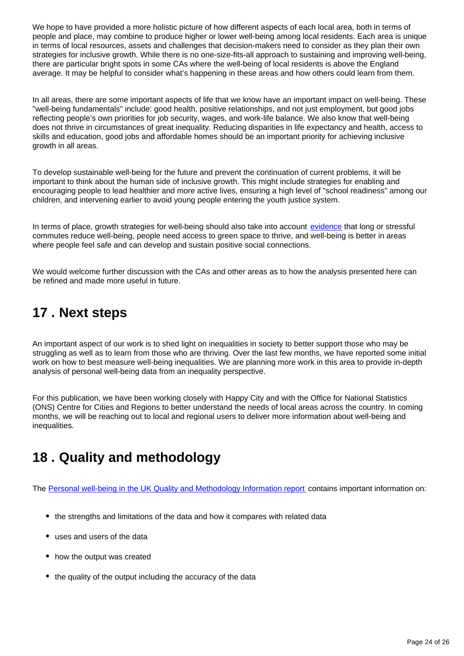We hope to have provided a more holistic picture of how different aspects of each local area, both in terms of people and place, may combine to produce higher or lower well-being among local residents. Each area is unique in terms of local resources, assets and challenges that decision-makers need to consider as they plan their own strategies for inclusive growth. While there is no one-size-fits-all approach to sustaining and improving well-being, there are particular bright spots in some CAs where the well-being of local residents is above the England average. It may be helpful to consider what's happening in these areas and how others could learn from them.

In all areas, there are some important aspects of life that we know have an important impact on well-being. These "well-being fundamentals" include: good health, positive relationships, and not just employment, but good jobs reflecting people's own priorities for job security, wages, and work-life balance. We also know that well-being does not thrive in circumstances of great inequality. Reducing disparities in life expectancy and health, access to skills and education, good jobs and affordable homes should be an important priority for achieving inclusive growth in all areas.

To develop sustainable well-being for the future and prevent the continuation of current problems, it will be important to think about the human side of inclusive growth. This might include strategies for enabling and encouraging people to lead healthier and more active lives, ensuring a high level of "school readiness" among our children, and intervening earlier to avoid young people entering the youth justice system.

In terms of place, growth strategies for well-being should also take into account [evidence](http://webarchive.nationalarchives.gov.uk/20160105232639/http:/www.ons.gov.uk/ons/rel/wellbeing/measuring-national-well-being/commuting-and-personal-well-being--2014/index.html) that long or stressful commutes reduce well-being, people need access to green space to thrive, and well-being is better in areas where people feel safe and can develop and sustain positive social connections.

We would welcome further discussion with the CAs and other areas as to how the analysis presented here can be refined and made more useful in future.

# <span id="page-23-0"></span>**17 . Next steps**

An important aspect of our work is to shed light on inequalities in society to better support those who may be struggling as well as to learn from those who are thriving. Over the last few months, we have reported some initial work on how to best measure well-being inequalities. We are planning more work in this area to provide in-depth analysis of personal well-being data from an inequality perspective.

For this publication, we have been working closely with Happy City and with the Office for National Statistics (ONS) Centre for Cities and Regions to better understand the needs of local areas across the country. In coming months, we will be reaching out to local and regional users to deliver more information about well-being and inequalities.

# <span id="page-23-1"></span>**18 . Quality and methodology**

The [Personal well-being in the UK Quality and Methodology Information report](https://www.ons.gov.uk/peoplepopulationandcommunity/wellbeing/methodologies/personalwellbeingintheukqmi) contains important information on:

- the strengths and limitations of the data and how it compares with related data
- uses and users of the data
- how the output was created
- the quality of the output including the accuracy of the data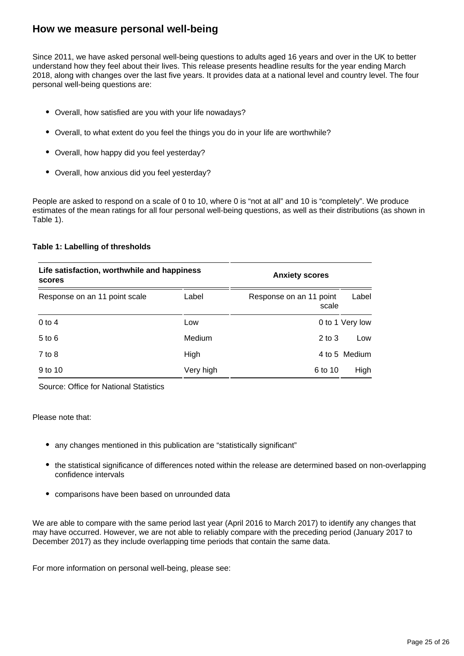#### **How we measure personal well-being**

Since 2011, we have asked personal well-being questions to adults aged 16 years and over in the UK to better understand how they feel about their lives. This release presents headline results for the year ending March 2018, along with changes over the last five years. It provides data at a national level and country level. The four personal well-being questions are:

- Overall, how satisfied are you with your life nowadays?
- Overall, to what extent do you feel the things you do in your life are worthwhile?
- Overall, how happy did you feel yesterday?
- Overall, how anxious did you feel yesterday?

People are asked to respond on a scale of 0 to 10, where 0 is "not at all" and 10 is "completely". We produce estimates of the mean ratings for all four personal well-being questions, as well as their distributions (as shown in Table 1).

#### **Table 1: Labelling of thresholds**

| Life satisfaction, worthwhile and happiness<br>scores |           | <b>Anxiety scores</b>            |                 |
|-------------------------------------------------------|-----------|----------------------------------|-----------------|
| Response on an 11 point scale                         | Label     | Response on an 11 point<br>scale | Label           |
| $0$ to 4                                              | Low       |                                  | 0 to 1 Very low |
| $5$ to $6$                                            | Medium    | $2$ to $3$                       | Low             |
| $7$ to $8$                                            | High      |                                  | 4 to 5 Medium   |
| 9 to 10                                               | Very high | 6 to 10                          | High            |

Source: Office for National Statistics

#### Please note that:

- any changes mentioned in this publication are "statistically significant"
- the statistical significance of differences noted within the release are determined based on non-overlapping confidence intervals
- comparisons have been based on unrounded data

We are able to compare with the same period last year (April 2016 to March 2017) to identify any changes that may have occurred. However, we are not able to reliably compare with the preceding period (January 2017 to December 2017) as they include overlapping time periods that contain the same data.

For more information on personal well-being, please see: